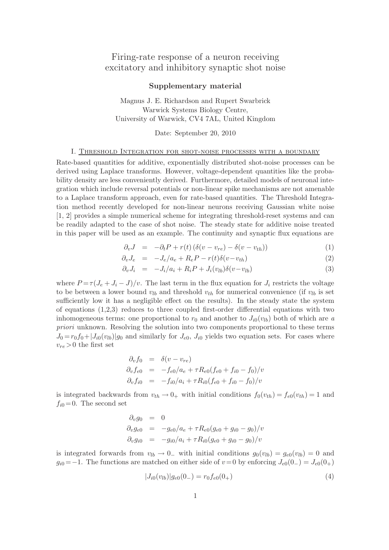# Firing-rate response of a neuron receiving excitatory and inhibitory synaptic shot noise

## Supplementary material

Magnus J. E. Richardson and Rupert Swarbrick Warwick Systems Biology Centre, University of Warwick, CV4 7AL, United Kingdom

Date: September 20, 2010

## I. Threshold Integration for shot-noise processes with a boundary

Rate-based quantities for additive, exponentially distributed shot-noise processes can be derived using Laplace transforms. However, voltage-dependent quantities like the probability density are less conveniently derived. Furthermore, detailed models of neuronal integration which include reversal potentials or non-linear spike mechanisms are not amenable to a Laplace transform approach, even for rate-based quantities. The Threshold Integration method recently developed for non-linear neurons receiving Gaussian white noise [1, 2] provides a simple numerical scheme for integrating threshold-reset systems and can be readily adapted to the case of shot noise. The steady state for additive noise treated in this paper will be used as an example. The continuity and synaptic flux equations are

$$
\partial_v J = -\partial_t P + r(t) \left( \delta(v - v_{re}) - \delta(v - v_{th}) \right) \tag{1}
$$

$$
\partial_v J_e = -J_e/a_e + R_e P - r(t)\delta(v - v_{th}) \tag{2}
$$

$$
\partial_v J_i = -J_i/a_i + R_i P + J_i(v_{lb})\delta(v - v_{lb}) \tag{3}
$$

where  $P = \tau (J_e + J_i - J)/v$ . The last term in the flux equation for  $J_i$  restricts the voltage to be between a lower bound  $v_{lb}$  and threshold  $v_{th}$  for numerical convenience (if  $v_{lb}$  is set sufficiently low it has a negligible effect on the results). In the steady state the system of equations  $(1,2,3)$  reduces to three coupled first-order differential equations with two inhomogeneous terms: one proportional to  $r_0$  and another to  $J_{i0}(v_{lb})$  both of which are a priori unknown. Resolving the solution into two components proportional to these terms  $J_0 = r_0 f_0 + |J_{i0}(v_{lb})| g_0$  and similarly for  $J_{e0}$ ,  $J_{i0}$  yields two equation sets. For cases where  $v_{re} > 0$  the first set

$$
\partial_v f_0 = \delta(v - v_{re})
$$
  
\n
$$
\partial_v f_{e0} = -f_{e0}/a_e + \tau R_{e0}(f_{e0} + f_{i0} - f_0)/v
$$
  
\n
$$
\partial_v f_{i0} = -f_{i0}/a_i + \tau R_{i0}(f_{e0} + f_{i0} - f_0)/v
$$

is integrated backwards from  $v_{th} \rightarrow 0_+$  with initial conditions  $f_0(v_{th}) = f_{e0}(v_{th}) = 1$  and  $f_{i0}=0$ . The second set

$$
\partial_v g_0 = 0
$$
  
\n
$$
\partial_v g_{e0} = -g_{e0}/a_e + \tau R_{e0}(g_{e0} + g_{i0} - g_0)/v
$$
  
\n
$$
\partial_v g_{i0} = -g_{i0}/a_i + \tau R_{i0}(g_{e0} + g_{i0} - g_0)/v
$$

is integrated forwards from  $v_{lb} \rightarrow 0$  with initial conditions  $g_0(v_{lb}) = g_{e0}(v_{lb}) = 0$  and  $g_{i0} = -1$ . The functions are matched on either side of  $v=0$  by enforcing  $J_{e0}(0_{-}) = J_{e0}(0_{+})$ 

$$
|J_{i0}(v_{lb})|g_{e0}(0_{-}) = r_0 f_{e0}(0_{+})
$$
\n(4)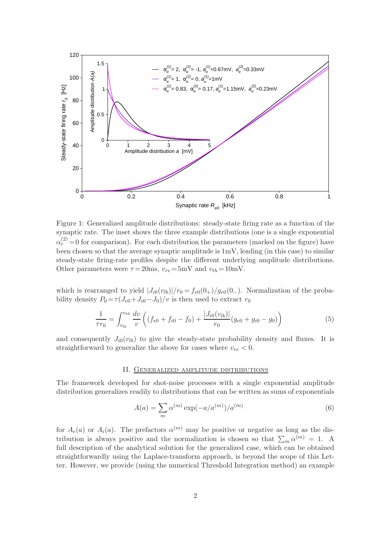

Figure 1: Generalized amplitude distributions: steady-state firing rate as a function of the synaptic rate. The inset shows the three example distributions (one is a single exponential  $\alpha_e^{(2)} = 0$  for comparison). For each distribution the parameters (marked on the figure) have been chosen so that the average synaptic amplitude is 1mV, leading (in this case) to similar steady-state firing-rate profiles despite the different underlying amplitude distributions. Other parameters were  $\tau = 20$ ms,  $v_{re} = 5$ mV and  $v_{th} = 10$ mV.

which is rearranged to yield  $|J_{i0}(v_{lb})|/r_0 = f_{e0}(0_{+})/g_{e0}(0_{-})$ . Normalization of the probability density  $P_0 = \tau (J_{e0} + J_{i0} - J_0)/v$  is then used to extract  $r_0$ 

$$
\frac{1}{\tau r_0} = \int_{v_{lb}}^{v_{th}} \frac{dv}{v} \left( (f_{e0} + f_{i0} - f_0) + \frac{|J_{i0}(v_{lb})|}{r_0} (g_{e0} + g_{i0} - g_0) \right) \tag{5}
$$

and consequently  $J_{i0}(v_{lb})$  to give the steady-state probability density and fluxes. It is straightforward to generalize the above for cases where  $v_{re} < 0$ .

#### II. Generalized amplitude distributions

The framework developed for shot-noise processes with a single exponential amplitude distribution generalizes readily to distributions that can be written as sums of exponentials

$$
A(a) = \sum_{m} \alpha^{(m)} \exp(-a/a^{(m)})/a^{(m)}
$$
(6)

for  $A_e(a)$  or  $A_i(a)$ . The prefactors  $\alpha^{(m)}$  may be positive or negative as long as the distribution is always positive and the normalization is chosen so that  $\sum_m \alpha^{(m)} = 1$ . A full description of the analytical solution for the generalized case, which can be obtained straightforwardly using the Laplace-transform approach, is beyond the scope of this Letter. However, we provide (using the numerical Threshold Integration method) an example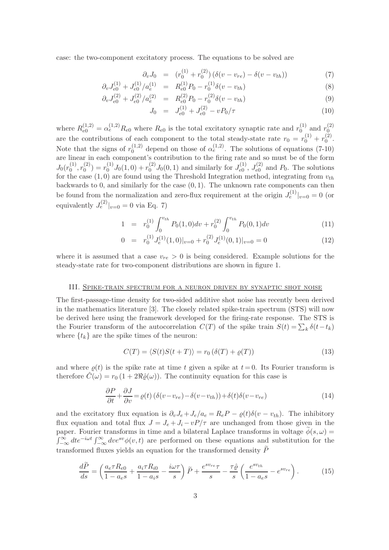case: the two-component excitatory process. The equations to be solved are

$$
\partial_v J_0 = (r_0^{(1)} + r_0^{(2)}) (\delta(v - v_{re}) - \delta(v - v_{th})) \tag{7}
$$

$$
\partial_v J_{e0}^{(1)} + J_{e0}^{(1)}/a_e^{(1)} = R_{e0}^{(1)}P_0 - r_0^{(1)}\delta(v - v_{th})
$$
\n(8)

$$
\partial_v J_{e0}^{(2)} + J_{e0}^{(2)}/a_e^{(2)} = R_{e0}^{(2)}P_0 - r_0^{(2)}\delta(v - v_{th})
$$
\n(9)

$$
J_0 = J_{e0}^{(1)} + J_{e0}^{(2)} - vP_0/\tau
$$
\n(10)

where  $R_{e0}^{(1,2)} = \alpha_e^{(1,2)} R_{e0}$  where  $R_{e0}$  is the total excitatory synaptic rate and  $r_0^{(1)}$  $_{0}^{(1)}$  and  $r_{0}^{(2)}$  $\boldsymbol{0}$ are the contributions of each component to the total steady-state rate  $r_0 = r_0^{(1)} + r_0^{(2)}$  $\int_{0}^{(2)}$ Note that the signs of  $r_0^{(1,2)}$  depend on those of  $\alpha_e^{(1,2)}$ . The solutions of equations (7-10) are linear in each component's contribution to the firing rate and so must be of the form  $J_0(r_0^{(1)}$  $\binom{10}{}$ ,  $r_0^{(2)}$  $v_0^{(2)}$  =  $r_0^{(1)}J_0(1,0) + r_0^{(2)}J_0(0,1)$  and similarly for  $J_{e0}^{(1)}$  $I_{e0}^{(1)},\,J_{e0}^{(2)}$  $P_{e0}^{(2)}$  and  $P_0$ . The solutions for the case  $(1,0)$  are found using the Threshold Integration method, integrating from  $v_{th}$ backwards to 0, and similarly for the case  $(0, 1)$ . The unknown rate components can then be found from the normalization and zero-flux requirement at the origin  $J_e^{(1)}|_{v=0} = 0$  (or equivalently  $J_e^{(2)}|_{v=0} = 0$  via Eq. 7)

$$
1 = r_0^{(1)} \int_0^{v_{th}} P_0(1,0) dv + r_0^{(2)} \int_0^{v_{th}} P_0(0,1) dv \qquad (11)
$$

$$
0 = r_0^{(1)} J_e^{(1)}(1,0)|_{v=0} + r_0^{(2)} J_e^{(1)}(0,1)|_{v=0} = 0
$$
\n(12)

where it is assumed that a case  $v_{re} > 0$  is being considered. Example solutions for the steady-state rate for two-component distributions are shown in figure 1.

#### III. Spike-train spectrum for a neuron driven by synaptic shot noise

The first-passage-time density for two-sided additive shot noise has recently been derived in the mathematics literature [3]. The closely related spike-train spectrum (STS) will now be derived here using the framework developed for the firing-rate response. The STS is the Fourier transform of the autocorrelation  $C(T)$  of the spike train  $S(t) = \sum_k \delta(t-t_k)$ where  $\{t_k\}$  are the spike times of the neuron:

$$
C(T) = \langle S(t)S(t+T) \rangle = r_0 \left( \delta(T) + \varrho(T) \right) \tag{13}
$$

and where  $\rho(t)$  is the spike rate at time t given a spike at  $t = 0$ . Its Fourier transform is therefore  $\hat{C}(\omega) = r_0 (1 + 2\Re\hat{\varrho}(\omega))$ . The continuity equation for this case is

$$
\frac{\partial P}{\partial t} + \frac{\partial J}{\partial v} = \varrho(t) \left( \delta(v - v_{re}) - \delta(v - v_{th}) \right) + \delta(t) \delta(v - v_{re}) \tag{14}
$$

and the excitatory flux equation is  $\partial_v J_e + J_e/a_e = R_e P - \varrho(t)\delta(v - v_{th})$ . The inhibitory flux equation and total flux  $J = J_e + J_i - vP/\tau$  are unchanged from those given in the paper. Fourier transforms in time and a bilateral Laplace transforms in voltage  $\phi(s, \omega)$  =  $\int_{-\infty}^{\infty} dt e^{-i\omega t} \int_{-\infty}^{\infty} dv e^{sv} \phi(v, t)$  are performed on these equations and substitution for the transformed fluxes yields an equation for the transformed density  $\tilde{P}$ 

$$
\frac{d\widetilde{P}}{ds} = \left(\frac{a_e \tau R_{e0}}{1 - a_e s} + \frac{a_i \tau R_{i0}}{1 - a_i s} - \frac{i\omega \tau}{s}\right) \widetilde{P} + \frac{e^{s v_{re}} \tau}{s} - \frac{\tau \hat{\varrho}}{s} \left(\frac{e^{s v_{th}}}{1 - a_e s} - e^{s v_{re}}\right). \tag{15}
$$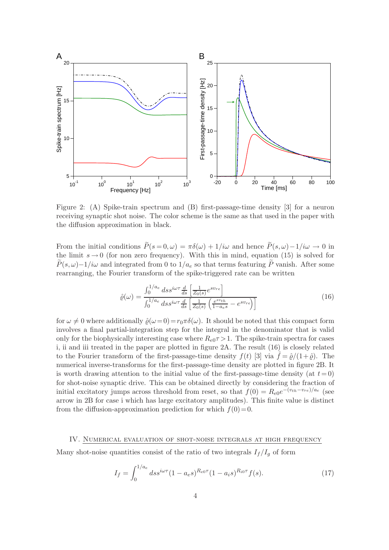

Figure 2: (A) Spike-train spectrum and (B) first-passage-time density [3] for a neuron receiving synaptic shot noise. The color scheme is the same as that used in the paper with the diffusion approximation in black.

From the initial conditions  $\widetilde{P}(s=0,\omega) = \pi \delta(\omega) + 1/i\omega$  and hence  $\widetilde{P}(s,\omega) - 1/i\omega \to 0$  in the limit  $s \to 0$  (for non zero frequency). With this in mind, equation (15) is solved for  $\widetilde{P}(s,\omega)-1/i\omega$  and integrated from 0 to  $1/a_e$  so that terms featuring  $\widetilde{P}$  vanish. After some rearranging, the Fourier transform of the spike-triggered rate can be written

$$
\hat{\varrho}(\omega) = \frac{\int_0^{1/a_e} ds s^{i\omega \tau} \frac{d}{ds} \left[ \frac{1}{Z_0(s)} e^{s v_{re}} \right]}{\int_0^{1/a_e} ds s^{i\omega \tau} \frac{d}{ds} \left[ \frac{1}{Z_0(s)} \left( \frac{e^{s v_{th}}}{1 - a_e s} - e^{s v_{re}} \right) \right]}
$$
(16)

for  $\omega \neq 0$  where additionally  $\hat{\rho}(\omega=0)=r_0\pi\delta(\omega)$ . It should be noted that this compact form involves a final partial-integration step for the integral in the denominator that is valid only for the biophysically interesting case where  $R_{e0}\tau > 1$ . The spike-train spectra for cases i, ii and iii treated in the paper are plotted in figure 2A. The result (16) is closely related to the Fourier transform of the first-passage-time density  $f(t)$  [3] via  $\hat{f} = \hat{\rho}/(1+\hat{\rho})$ . The numerical inverse-transforms for the first-passage-time density are plotted in figure 2B. It is worth drawing attention to the initial value of the first-passage-time density (at  $t = 0$ ) for shot-noise synaptic drive. This can be obtained directly by considering the fraction of initial excitatory jumps across threshold from reset, so that  $f(0) = R_{e0}e^{-(v_{th}-v_{re})/a_e}$  (see arrow in 2B for case i which has large excitatory amplitudes). This finite value is distinct from the diffusion-approximation prediction for which  $f(0)=0$ .

## IV. Numerical evaluation of shot-noise integrals at high frequency

Many shot-noise quantities consist of the ratio of two integrals  $I_f/I_g$  of form

$$
I_f = \int_0^{1/a_e} ds s^{i\omega\tau} (1 - a_e s)^{R_{e0}\tau} (1 - a_i s)^{R_{i0}\tau} f(s).
$$
 (17)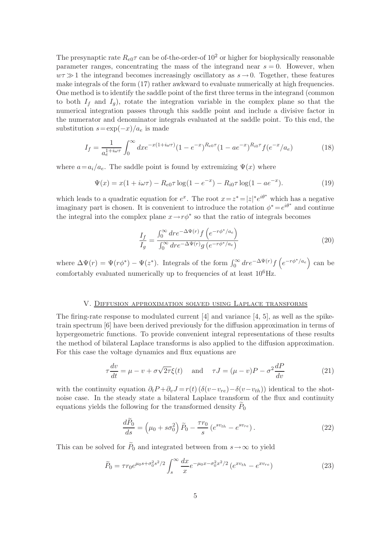The presynaptic rate  $R_{e0}\tau$  can be of-the-order-of 10<sup>2</sup> or higher for biophysically reasonable parameter ranges, concentrating the mass of the integrand near  $s = 0$ . However, when  $w\tau \gg 1$  the integrand becomes increasingly oscillatory as  $s \to 0$ . Together, these features make integrals of the form (17) rather awkward to evaluate numerically at high frequencies. One method is to identify the saddle point of the first three terms in the integrand (common to both  $I_f$  and  $I_g$ ), rotate the integration variable in the complex plane so that the numerical integration passes through this saddle point and include a divisive factor in the numerator and denominator integrals evaluated at the saddle point. To this end, the substitution  $s = \exp(-x)/a_e$  is made

$$
I_f = \frac{1}{a_e^{1+i\omega\tau}} \int_0^\infty dx e^{-x(1+i\omega\tau)} (1 - e^{-x})^{R_{e0}\tau} (1 - ae^{-x})^{R_{i0}\tau} f(e^{-x}/a_e)
$$
(18)

where  $a=a_i/a_e$ . The saddle point is found by extremizing  $\Psi(x)$  where

$$
\Psi(x) = x(1 + i\omega\tau) - R_{e0}\tau \log(1 - e^{-x}) - R_{i0}\tau \log(1 - ae^{-x}).
$$
\n(19)

which leads to a quadratic equation for  $e^x$ . The root  $x = z^* = |z|^* e^{i\theta^*}$  which has a negative imaginary part is chosen. It is convenient to introduce the rotation  $\phi^* = e^{i\theta^*}$  and continue the integral into the complex plane  $x \to r\phi^*$  so that the ratio of integrals becomes

$$
\frac{I_f}{I_g} = \frac{\int_0^\infty dr e^{-\Delta\Psi(r)} f\left(e^{-r\phi^*/a_e}\right)}{\int_0^\infty dr e^{-\Delta\Psi(r)} g\left(e^{-r\phi^*/a_e}\right)}\tag{20}
$$

where  $\Delta\Psi(r) = \Psi(r\phi^*) - \Psi(z^*)$ . Integrals of the form  $\int_0^\infty dr e^{-\Delta\Psi(r)} f\left(e^{-r\phi^*/a_e}\right)$  can be comfortably evaluated numerically up to frequencies of at least  $10^6$ Hz.

## V. Diffusion approximation solved using Laplace transforms

The firing-rate response to modulated current  $[4]$  and variance  $[4, 5]$ , as well as the spiketrain spectrum [6] have been derived previously for the diffusion approximation in terms of hypergeometric functions. To provide convenient integral representations of these results the method of bilateral Laplace transforms is also applied to the diffusion approximation. For this case the voltage dynamics and flux equations are

$$
\tau \frac{dv}{dt} = \mu - v + \sigma \sqrt{2\tau} \xi(t) \quad \text{and} \quad \tau J = (\mu - v)P - \sigma^2 \frac{dP}{dv} \tag{21}
$$

with the continuity equation  $\partial_t P + \partial_v J = r(t) (\delta(v-v_{re}) - \delta(v-v_{th}))$  identical to the shotnoise case. In the steady state a bilateral Laplace transform of the flux and continuity equations yields the following for the transformed density  $P_0$ 

$$
\frac{d\widetilde{P}_0}{ds} = \left(\mu_0 + s\sigma_0^2\right)\widetilde{P}_0 - \frac{\tau r_0}{s}\left(e^{sv_{th}} - e^{sv_{re}}\right). \tag{22}
$$

This can be solved for  $P_0$  and integrated between from  $s \to \infty$  to yield

$$
\widetilde{P}_0 = \tau r_0 e^{\mu_0 s + \sigma_0^2 s^2/2} \int_s^\infty \frac{dx}{x} e^{-\mu_0 x - \sigma_0^2 x^2/2} \left( e^{x v_{th}} - e^{x v_{re}} \right) \tag{23}
$$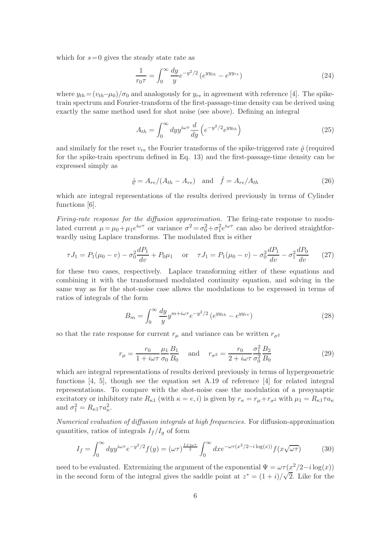which for  $s = 0$  gives the steady state rate as

$$
\frac{1}{r_0 \tau} = \int_0^\infty \frac{dy}{y} e^{-y^2/2} \left( e^{yy_{th}} - e^{yy_{re}} \right) \tag{24}
$$

where  $y_{th} = (v_{th}-\mu_0)/\sigma_0$  and analogously for  $y_{re}$  in agreement with reference [4]. The spiketrain spectrum and Fourier-transform of the first-passage-time density can be derived using exactly the same method used for shot noise (see above). Defining an integral

$$
A_{th} = \int_0^\infty dy y^{i\omega \tau} \frac{d}{dy} \left( e^{-y^2/2} e^{yy_{th}} \right) \tag{25}
$$

and similarly for the reset  $v_{re}$  the Fourier transforms of the spike-triggered rate  $\hat{\rho}$  (required for the spike-train spectrum defined in Eq. 13) and the first-passage-time density can be expressed simply as

$$
\hat{\varrho} = A_{re} / (A_{th} - A_{re}) \quad \text{and} \quad \hat{f} = A_{re} / A_{th} \tag{26}
$$

which are integral representations of the results derived previously in terms of Cylinder functions [6].

Firing-rate response for the diffusion approximation. The firing-rate response to modulated current  $\mu = \mu_0 + \mu_1 e^{i\omega\tau}$  or variance  $\sigma^2 = \sigma_0^2 + \sigma_1^2 e^{i\omega\tau}$  can also be derived straightforwardly using Laplace transforms. The modulated flux is either

$$
\tau J_1 = P_1(\mu_0 - v) - \sigma_0^2 \frac{dP_1}{dv} + P_0 \mu_1 \quad \text{or} \quad \tau J_1 = P_1(\mu_0 - v) - \sigma_0^2 \frac{dP_1}{dv} - \sigma_1^2 \frac{dP_0}{dv} \tag{27}
$$

for these two cases, respectively. Laplace transforming either of these equations and combining it with the transformed modulated continuity equation, and solving in the same way as for the shot-noise case allows the modulations to be expressed in terms of ratios of integrals of the form

$$
B_m = \int_0^\infty \frac{dy}{y} y^{m+i\omega\tau} e^{-y^2/2} \left( e^{yy_{th}} - e^{yy_{re}} \right) \tag{28}
$$

so that the rate response for current  $r_{\mu}$  and variance can be written  $r_{\sigma^2}$ 

$$
r_{\mu} = \frac{r_0}{1 + i\omega\tau} \frac{\mu_1}{\sigma_0} \frac{B_1}{B_0} \quad \text{and} \quad r_{\sigma^2} = \frac{r_0}{2 + i\omega\tau} \frac{\sigma_1^2}{\sigma_0^2} \frac{B_2}{B_0}
$$
(29)

which are integral representations of results derived previously in terms of hypergeometric functions [4, 5], though see the equation set A.19 of reference [4] for related integral representations. To compare with the shot-noise case the modulation of a presynaptic excitatory or inhibitory rate  $R_{\kappa 1}$  (with  $\kappa = e, i$ ) is given by  $r_{\kappa} = r_{\mu} + r_{\sigma^2}$  with  $\mu_1 = R_{\kappa 1} \tau a_{\kappa}$ and  $\sigma_1^2 = R_{\kappa 1} \tau a_{\kappa}^2$ .

Numerical evaluation of diffusion integrals at high frequencies. For diffusion-approximation quantities, ratios of integrals  $I_f/I_q$  of form

$$
I_f = \int_0^\infty dy y^{i\omega \tau} e^{-y^2/2} f(y) = (\omega \tau)^{\frac{1+i\omega \tau}{2}} \int_0^\infty dx e^{-\omega \tau (x^2/2 - i \log(x))} f(x\sqrt{\omega \tau}) \tag{30}
$$

need to be evaluated. Extremizing the argument of the exponential  $\Psi = \omega \tau (\frac{x^2}{2} - i \log(x))$ in the second form of the integral gives the saddle point at  $z^* = (1+i)/\sqrt{2}$ . Like for the